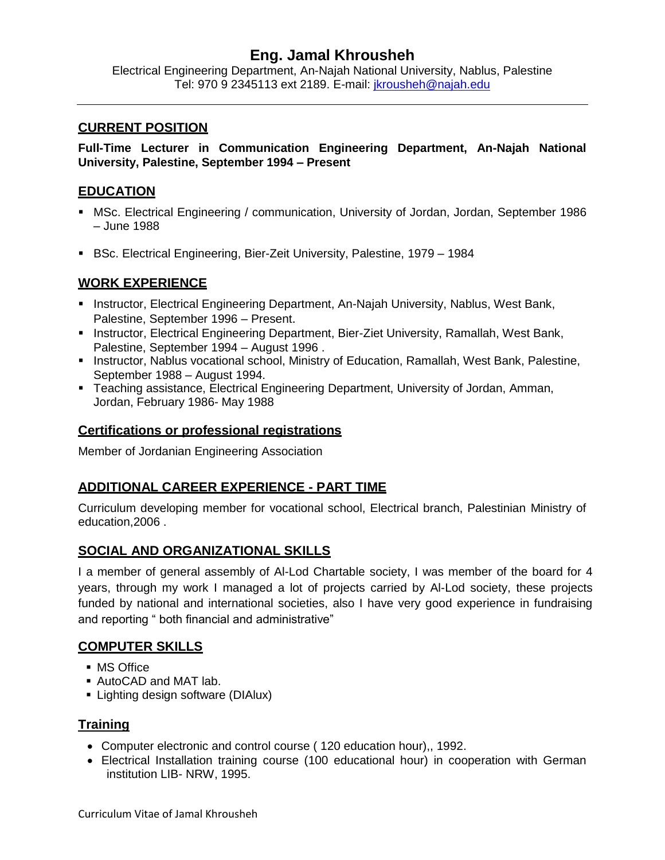# **Eng. Jamal Khrousheh**

Electrical Engineering Department, An-Najah National University, Nablus, Palestine Tel: 970 9 2345113 ext 2189. E-mail: [jkrousheh@najah.edu](mailto:jkrousheh@najah.edu)

#### **CURRENT POSITION**

**Full-Time Lecturer in Communication Engineering Department, An-Najah National University, Palestine, September 1994 – Present**

#### **EDUCATION**

- MSc. Electrical Engineering / communication, University of Jordan, Jordan, September 1986 – June 1988
- BSc. Electrical Engineering, Bier-Zeit University, Palestine, 1979 1984

## **WORK EXPERIENCE**

- **Instructor, Electrical Engineering Department, An-Najah University, Nablus, West Bank,** Palestine, September 1996 – Present.
- **Instructor, Electrical Engineering Department, Bier-Ziet University, Ramallah, West Bank,** Palestine, September 1994 – August 1996 .
- **Instructor, Nablus vocational school, Ministry of Education, Ramallah, West Bank, Palestine,** September 1988 – August 1994.
- Teaching assistance, Electrical Engineering Department, University of Jordan, Amman, Jordan, February 1986- May 1988

#### **Certifications or professional registrations**

Member of Jordanian Engineering Association

## **ADDITIONAL CAREER EXPERIENCE - PART TIME**

Curriculum developing member for vocational school, Electrical branch, Palestinian Ministry of education,2006 .

## **SOCIAL AND ORGANIZATIONAL SKILLS**

I a member of general assembly of Al-Lod Chartable society, I was member of the board for 4 years, through my work I managed a lot of projects carried by Al-Lod society, these projects funded by national and international societies, also I have very good experience in fundraising and reporting " both financial and administrative"

## **COMPUTER SKILLS**

- MS Office
- AutoCAD and MAT lab.
- **Example 1** Lighting design software (DIAlux)

## **Training**

- Computer electronic and control course ( 120 education hour),, 1992.
- Electrical Installation training course (100 educational hour) in cooperation with German institution LIB- NRW, 1995.